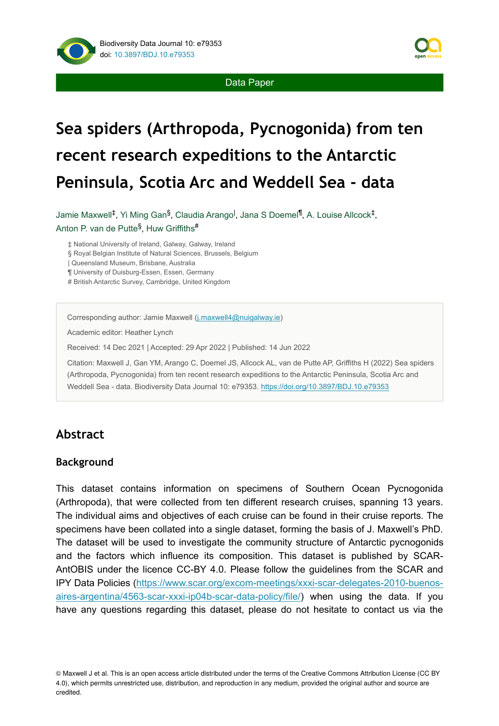

Data Paper

# **Sea spiders (Arthropoda, Pycnogonida) from ten recent research expeditions to the Antarctic Peninsula, Scotia Arc and Weddell Sea - data**

Jamie Maxwell<sup>‡</sup>, Yi Ming Gan<sup>§</sup>, Claudia Arango<sup>l</sup>, Jana S Doemel<sup>¶</sup>, A. Louise Allcock<sup>‡</sup>, Anton P. van de Putte<sup>§</sup>, Huw Griffiths<sup>#</sup>

‡ National University of Ireland, Galway, Galway, Ireland

§ Royal Belgian Institute of Natural Sciences, Brussels, Belgium

| Queensland Museum, Brisbane, Australia

¶ University of Duisburg-Essen, Essen, Germany

# British Antarctic Survey, Cambridge, United Kingdom

Corresponding author: Jamie Maxwell ([j.maxwell4@nuigalway.ie](mailto:j.maxwell4@nuigalway.ie))

Academic editor: Heather Lynch

Received: 14 Dec 2021 | Accepted: 29 Apr 2022 | Published: 14 Jun 2022

Citation: Maxwell J, Gan YM, Arango C, Doemel JS, Allcock AL, van de Putte AP, Griffiths H (2022) Sea spiders (Arthropoda, Pycnogonida) from ten recent research expeditions to the Antarctic Peninsula, Scotia Arc and Weddell Sea - data. Biodiversity Data Journal 10: e79353. <https://doi.org/10.3897/BDJ.10.e79353>

## **Abstract**

#### **Background**

This dataset contains information on specimens of Southern Ocean Pycnogonida (Arthropoda), that were collected from ten different research cruises, spanning 13 years. The individual aims and objectives of each cruise can be found in their cruise reports. The specimens have been collated into a single dataset, forming the basis of J. Maxwell's PhD. The dataset will be used to investigate the community structure of Antarctic pycnogonids and the factors which influence its composition. This dataset is published by SCAR-AntOBIS under the licence CC-BY 4.0. Please follow the guidelines from the SCAR and IPY Data Policies ([https://www.scar.org/excom-meetings/xxxi-scar-delegates-2010-buenos](https://www.scar.org/excom-meetings/xxxi-scar-delegates-2010-buenos-aires-argentina/4563-scar-xxxi-ip04b-scar-data-policy/file/)[aires-argentina/4563-scar-xxxi-ip04b-scar-data-policy/file/\)](https://www.scar.org/excom-meetings/xxxi-scar-delegates-2010-buenos-aires-argentina/4563-scar-xxxi-ip04b-scar-data-policy/file/) when using the data. If you have any questions regarding this dataset, please do not hesitate to contact us via the

<sup>©</sup> Maxwell J et al. This is an open access article distributed under the terms of the Creative Commons Attribution License (CC BY 4.0), which permits unrestricted use, distribution, and reproduction in any medium, provided the original author and source are credited.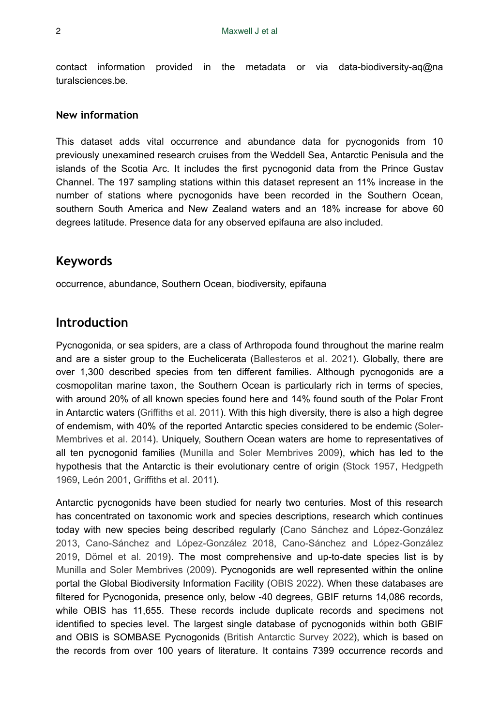contact information provided in the metadata or via data-biodiversity-aq@na turalsciences.be.

#### **New information**

This dataset adds vital occurrence and abundance data for pycnogonids from 10 previously unexamined research cruises from the Weddell Sea, Antarctic Penisula and the islands of the Scotia Arc. It includes the first pycnogonid data from the Prince Gustav Channel. The 197 sampling stations within this dataset represent an 11% increase in the number of stations where pycnogonids have been recorded in the Southern Ocean, southern South America and New Zealand waters and an 18% increase for above 60 degrees latitude. Presence data for any observed epifauna are also included.

## **Keywords**

occurrence, abundance, Southern Ocean, biodiversity, epifauna

## **Introduction**

Pycnogonida, or sea spiders, are a class of Arthropoda found throughout the marine realm and are a sister group to the Euchelicerata ([Ballesteros et al. 2021\)](#page-18-0). Globally, there are over 1,300 described species from ten different families. Although pycnogonids are a cosmopolitan marine taxon, the Southern Ocean is particularly rich in terms of species, with around 20% of all known species found here and 14% found south of the Polar Front in Antarctic waters [\(Griffiths et al. 2011](#page-19-0)). With this high diversity, there is also a high degree of endemism, with 40% of the reported Antarctic species considered to be endemic [\(Soler-](#page-20-0)[Membrives et al. 2014\)](#page-20-0). Uniquely, Southern Ocean waters are home to representatives of all ten pycnogonid families [\(Munilla and Soler Membrives 2009\)](#page-20-1), which has led to the hypothesis that the Antarctic is their evolutionary centre of origin [\(Stock 1957](#page-20-2), [Hedgpeth](#page-19-1) [1969](#page-19-1), [León 2001](#page-19-2), [Griffiths et al. 2011\)](#page-19-0).

Antarctic pycnogonids have been studied for nearly two centuries. Most of this research has concentrated on taxonomic work and species descriptions, research which continues today with new species being described regularly ([Cano Sánchez and López-González](#page-18-1) [2013](#page-18-1), [Cano-Sánchez and López-González 2018,](#page-18-2) [Cano-Sánchez and López-González](#page-18-3) [2019](#page-18-3), [Dömel et al. 2019](#page-19-3)). The most comprehensive and up-to-date species list is by [Munilla and Soler Membrives \(2009\).](#page-20-1) Pycnogonids are well represented within the online portal the Global Biodiversity Information Facility [\(OBIS 2022\)](#page-20-3). When these databases are filtered for Pycnogonida, presence only, below -40 degrees, GBIF returns 14,086 records, while OBIS has 11,655. These records include duplicate records and specimens not identified to species level. The largest single database of pycnogonids within both GBIF and OBIS is SOMBASE Pycnogonids ([British Antarctic Survey 2022](#page-18-4)), which is based on the records from over 100 years of literature. It contains 7399 occurrence records and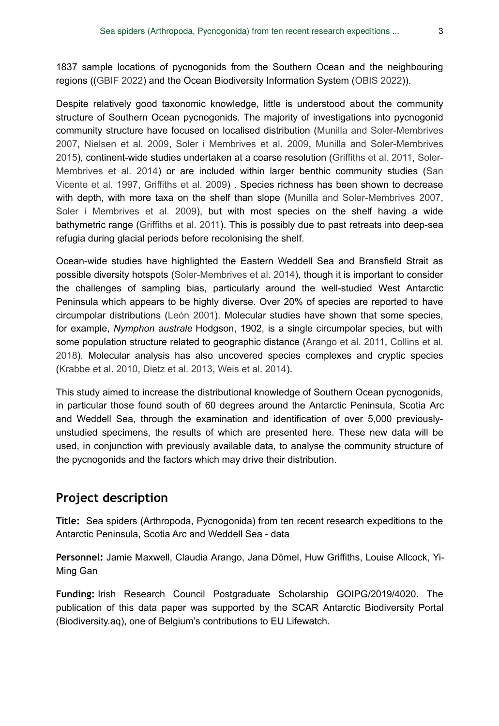1837 sample locations of pycnogonids from the Southern Ocean and the neighbouring regions ([\(GBIF 2022\)](#page-19-4) and the Ocean Biodiversity Information System ([OBIS 2022\)](#page-20-3)).

Despite relatively good taxonomic knowledge, little is understood about the community structure of Southern Ocean pycnogonids. The majority of investigations into pycnogonid community structure have focused on localised distribution ([Munilla and Soler-Membrives](#page-20-4) [2007](#page-20-4), [Nielsen et al. 2009](#page-20-5), [Soler i Membrives et al. 2009](#page-20-6), [Munilla and Soler-Membrives](#page-20-7) [2015](#page-20-7)), continent-wide studies undertaken at a coarse resolution [\(Griffiths et al. 2011](#page-19-0), [Soler-](#page-20-0)[Membrives et al. 2014](#page-20-0)) or are included within larger benthic community studies [\(San](#page-20-8) [Vicente et al. 1997](#page-20-8), [Griffiths et al. 2009\)](#page-19-5) . Species richness has been shown to decrease with depth, with more taxa on the shelf than slope ([Munilla and Soler-Membrives 2007,](#page-20-4) [Soler i Membrives et al. 2009](#page-20-6)), but with most species on the shelf having a wide bathymetric range ([Griffiths et al. 2011](#page-19-0)). This is possibly due to past retreats into deep-sea refugia during glacial periods before recolonising the shelf.

Ocean-wide studies have highlighted the Eastern Weddell Sea and Bransfield Strait as possible diversity hotspots [\(Soler-Membrives et al. 2014](#page-20-0)), though it is important to consider the challenges of sampling bias, particularly around the well-studied West Antarctic Peninsula which appears to be highly diverse. Over 20% of species are reported to have circumpolar distributions [\(León 2001](#page-19-2)). Molecular studies have shown that some species, for example, *Nymphon australe* Hodgson, 1902, is a single circumpolar species, but with some population structure related to geographic distance ([Arango et al. 2011](#page-18-5), [Collins et al.](#page-19-6) [2018](#page-19-6)). Molecular analysis has also uncovered species complexes and cryptic species [\(Krabbe et al. 2010,](#page-19-7) [Dietz et al. 2013](#page-19-8), [Weis et al. 2014](#page-20-9)).

This study aimed to increase the distributional knowledge of Southern Ocean pycnogonids, in particular those found south of 60 degrees around the Antarctic Peninsula, Scotia Arc and Weddell Sea, through the examination and identification of over 5,000 previouslyunstudied specimens, the results of which are presented here. These new data will be used, in conjunction with previously available data, to analyse the community structure of the pycnogonids and the factors which may drive their distribution.

## **Project description**

**Title:** Sea spiders (Arthropoda, Pycnogonida) from ten recent research expeditions to the Antarctic Peninsula, Scotia Arc and Weddell Sea - data

**Personnel:** Jamie Maxwell, Claudia Arango, Jana Dömel, Huw Griffiths, Louise Allcock, Yi-Ming Gan

**Funding:** Irish Research Council Postgraduate Scholarship GOIPG/2019/4020. The publication of this data paper was supported by the SCAR Antarctic Biodiversity Portal (Biodiversity.aq), one of Belgium's contributions to EU Lifewatch.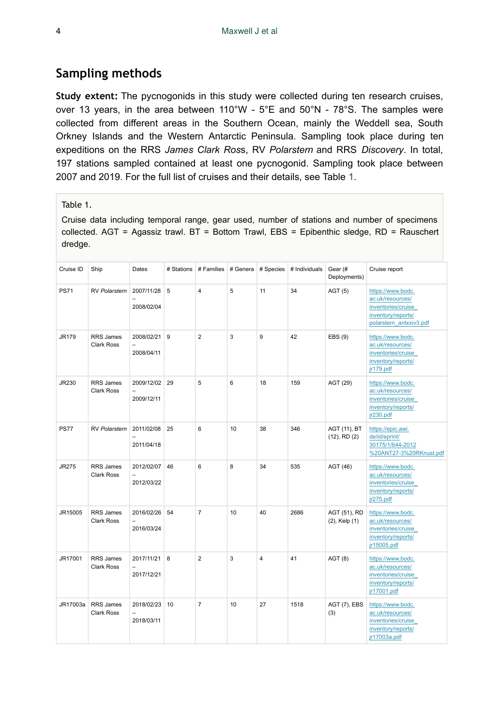## **Sampling methods**

**Study extent:** The pycnogonids in this study were collected during ten research cruises, over 13 years, in the area between 110°W - 5°E and 50°N - 78°S. The samples were collected from different areas in the Southern Ocean, mainly the Weddell sea, South Orkney Islands and the Western Antarctic Peninsula. Sampling took place during ten expeditions on the RRS *James Clark Ros*s, RV *Polarstern* and RRS *Discovery*. In total, 197 stations sampled contained at least one pycnogonid. Sampling took place between 2007 and 2019. For the full list of cruises and their details, see Table [1](#page-3-0).

#### <span id="page-3-0"></span>Table 1.

Cruise data including temporal range, gear used, number of stations and number of specimens collected. AGT = Agassiz trawl. BT = Bottom Trawl, EBS = Epibenthic sledge, RD = Rauschert dredge.

| Cruise ID    | Ship                                  | Dates                                                   | # Stations | # Families # Genera |    | # Species | # Individuals | Gear (#<br>Deployments)            | Cruise report                                                                                                |
|--------------|---------------------------------------|---------------------------------------------------------|------------|---------------------|----|-----------|---------------|------------------------------------|--------------------------------------------------------------------------------------------------------------|
| <b>PS71</b>  | RV Polarstern                         | 2007/11/28<br>2008/02/04                                | 5          | 4                   | 5  | 11        | 34            | AGT(5)                             | https://www.bodc.<br>ac.uk/resources/<br>inventories/cruise<br>inventory/reports/<br>polarstern antxxiv3.pdf |
| <b>JR179</b> | <b>RRS</b> James<br><b>Clark Ross</b> | 2008/02/21<br>$\overline{\phantom{0}}$<br>2008/04/11    | 9          | $\overline{2}$      | 3  | 9         | 42            | EBS (9)                            | https://www.bodc.<br>ac.uk/resources/<br>inventories/cruise<br>inventory/reports/<br>jr179.pdf               |
| JR230        | RRS James<br>Clark Ross               | 2009/12/02 29<br>$\overline{\phantom{0}}$<br>2009/12/11 |            | 5                   | 6  | 18        | 159           | AGT (29)                           | https://www.bodc.<br>ac.uk/resources/<br>inventories/cruise<br>inventory/reports/<br>jr230.pdf               |
| <b>PS77</b>  | RV Polarstern                         | 2011/02/08<br>2011/04/18                                | 25         | 6                   | 10 | 38        | 346           | AGT (11), BT<br>$(12)$ , RD $(2)$  | https://epic.awi.<br>de/id/eprint/<br>30175/1/644-2012<br>%20ANT27-3%20RKnust.pdf                            |
| <b>JR275</b> | RRS James<br>Clark Ross               | 2012/02/07<br>$\overline{\phantom{0}}$<br>2012/03/22    | 46         | 6                   | 8  | 34        | 535           | AGT (46)                           | https://www.bodc.<br>ac.uk/resources/<br>inventories/cruise<br>inventory/reports/<br>jr275.pdf               |
| JR15005      | RRS James<br>Clark Ross               | 2016/02/26<br>$\overline{\phantom{0}}$<br>2016/03/24    | 54         | $\overline{7}$      | 10 | 40        | 2686          | AGT (51), RD<br>$(2)$ , Kelp $(1)$ | https://www.bodc.<br>ac.uk/resources/<br>inventories/cruise<br>inventory/reports/<br>jr15005.pdf             |
| JR17001      | RRS James<br>Clark Ross               | 2017/11/21<br>$\overline{a}$<br>2017/12/21              | 8          | $\overline{2}$      | 3  | 4         | 41            | AGT(8)                             | https://www.bodc.<br>ac.uk/resources/<br>inventories/cruise<br>inventory/reports/<br>jr17001.pdf             |
| JR17003a     | RRS James<br>Clark Ross               | 2018/02/23<br>$\overline{\phantom{0}}$<br>2018/03/11    | 10         | $\overline{7}$      | 10 | 27        | 1518          | AGT (7), EBS<br>(3)                | https://www.bodc.<br>ac.uk/resources/<br>inventories/cruise<br>inventory/reports/<br>jr17003a.pdf            |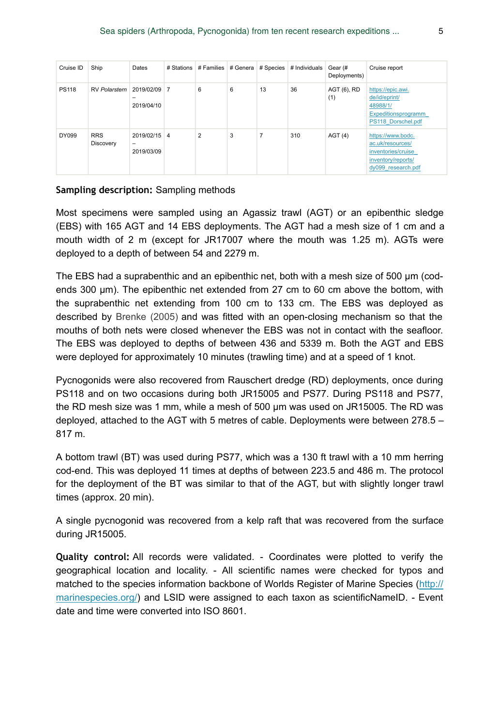| Cruise ID    | Ship                    | Dates                           | # Stations | # Families   # Genera |   | # Species | # Individuals | Gear (#<br>Deployments) | Cruise report                                                                                           |
|--------------|-------------------------|---------------------------------|------------|-----------------------|---|-----------|---------------|-------------------------|---------------------------------------------------------------------------------------------------------|
| <b>PS118</b> | <b>RV Polarstern</b>    | 2019/02/09 7<br>-<br>2019/04/10 |            | 6                     | 6 | 13        | 36            | AGT (6), RD<br>(1)      | https://epic.awi.<br>de/id/eprint/<br>48988/1/<br>Expeditionsprogramm<br>PS118 Dorschel.pdf             |
| DY099        | <b>RRS</b><br>Discovery | 2019/02/15 4<br>-<br>2019/03/09 |            | $\overline{2}$        | 3 | 7         | 310           | AGT(4)                  | https://www.bodc.<br>ac.uk/resources/<br>inventories/cruise<br>inventory/reports/<br>dy099 research.pdf |

#### **Sampling description:** Sampling methods

Most specimens were sampled using an Agassiz trawl (AGT) or an epibenthic sledge (EBS) with 165 AGT and 14 EBS deployments. The AGT had a mesh size of 1 cm and a mouth width of 2 m (except for JR17007 where the mouth was 1.25 m). AGTs were deployed to a depth of between 54 and 2279 m.

The EBS had a suprabenthic and an epibenthic net, both with a mesh size of 500 μm (codends 300 μm). The epibenthic net extended from 27 cm to 60 cm above the bottom, with the suprabenthic net extending from 100 cm to 133 cm. The EBS was deployed as described by [Brenke \(2005\)](#page-18-6) and was fitted with an open-closing mechanism so that the mouths of both nets were closed whenever the EBS was not in contact with the seafloor. The EBS was deployed to depths of between 436 and 5339 m. Both the AGT and EBS were deployed for approximately 10 minutes (trawling time) and at a speed of 1 knot.

Pycnogonids were also recovered from Rauschert dredge (RD) deployments, once during PS118 and on two occasions during both JR15005 and PS77. During PS118 and PS77, the RD mesh size was 1 mm, while a mesh of 500 μm was used on JR15005. The RD was deployed, attached to the AGT with 5 metres of cable. Deployments were between 278.5 – 817 m.

A bottom trawl (BT) was used during PS77, which was a 130 ft trawl with a 10 mm herring cod-end. This was deployed 11 times at depths of between 223.5 and 486 m. The protocol for the deployment of the BT was similar to that of the AGT, but with slightly longer trawl times (approx. 20 min).

A single pycnogonid was recovered from a kelp raft that was recovered from the surface during JR15005.

**Quality control:** All records were validated. - Coordinates were plotted to verify the geographical location and locality. - All scientific names were checked for typos and matched to the species information backbone of Worlds Register of Marine Species ([http://](http://marinespecies.org/) [marinespecies.org/](http://marinespecies.org/)) and LSID were assigned to each taxon as scientificNameID. - Event date and time were converted into ISO 8601.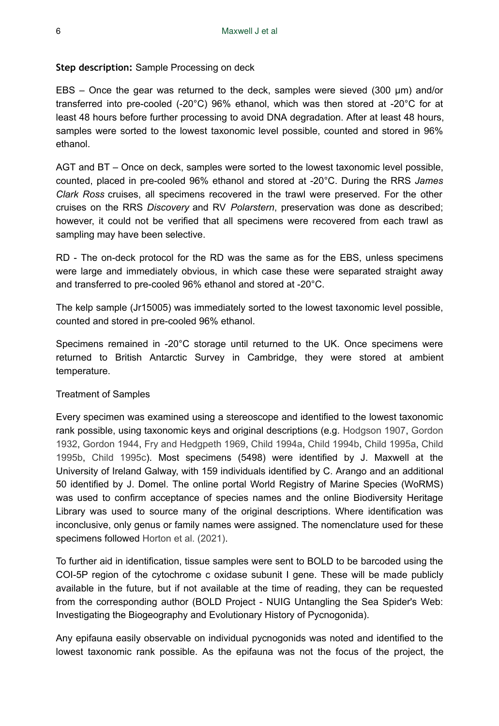#### **Step description:** Sample Processing on deck

EBS – Once the gear was returned to the deck, samples were sieved (300 μm) and/or transferred into pre-cooled (-20°C) 96% ethanol, which was then stored at -20°C for at least 48 hours before further processing to avoid DNA degradation. After at least 48 hours, samples were sorted to the lowest taxonomic level possible, counted and stored in 96% ethanol.

AGT and BT – Once on deck, samples were sorted to the lowest taxonomic level possible, counted, placed in pre-cooled 96% ethanol and stored at -20°C. During the RRS *James Clark Ross* cruises, all specimens recovered in the trawl were preserved. For the other cruises on the RRS *Discovery* and RV *Polarstern*, preservation was done as described; however, it could not be verified that all specimens were recovered from each trawl as sampling may have been selective.

RD - The on-deck protocol for the RD was the same as for the EBS, unless specimens were large and immediately obvious, in which case these were separated straight away and transferred to pre-cooled 96% ethanol and stored at -20°C.

The kelp sample (Jr15005) was immediately sorted to the lowest taxonomic level possible, counted and stored in pre-cooled 96% ethanol.

Specimens remained in -20°C storage until returned to the UK. Once specimens were returned to British Antarctic Survey in Cambridge, they were stored at ambient temperature.

#### Treatment of Samples

Every specimen was examined using a stereoscope and identified to the lowest taxonomic rank possible, using taxonomic keys and original descriptions (e.g. [Hodgson 1907](#page-19-9), [Gordon](#page-19-10) [1932](#page-19-10), [Gordon 1944](#page-19-11), [Fry and Hedgpeth 1969](#page-19-12), [Child 1994a](#page-18-7), [Child 1994b](#page-18-8), [Child 1995a,](#page-19-13) [Child](#page-19-14) [1995b](#page-19-14), [Child 1995c\)](#page-19-15). Most specimens (5498) were identified by J. Maxwell at the University of Ireland Galway, with 159 individuals identified by C. Arango and an additional 50 identified by J. Domel. The online portal World Registry of Marine Species (WoRMS) was used to confirm acceptance of species names and the online Biodiversity Heritage Library was used to source many of the original descriptions. Where identification was inconclusive, only genus or family names were assigned. The nomenclature used for these specimens followed [Horton et al. \(2021\)](#page-19-16).

To further aid in identification, tissue samples were sent to BOLD to be barcoded using the COI-5P region of the cytochrome c oxidase subunit I gene. These will be made publicly available in the future, but if not available at the time of reading, they can be requested from the corresponding author (BOLD Project - NUIG Untangling the Sea Spider's Web: Investigating the Biogeography and Evolutionary History of Pycnogonida).

Any epifauna easily observable on individual pycnogonids was noted and identified to the lowest taxonomic rank possible. As the epifauna was not the focus of the project, the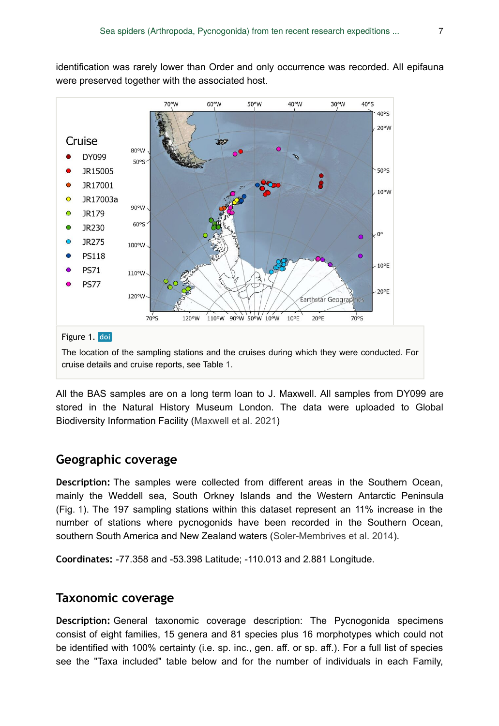identification was rarely lower than Order and only occurrence was recorded. All epifauna were preserved together with the associated host.

<span id="page-6-0"></span>

All the BAS samples are on a long term loan to J. Maxwell. All samples from DY099 are stored in the Natural History Museum London. The data were uploaded to Global Biodiversity Information Facility ([Maxwell et al. 2021](#page-19-17))

## **Geographic coverage**

**Description:** The samples were collected from different areas in the Southern Ocean, mainly the Weddell sea, South Orkney Islands and the Western Antarctic Peninsula (Fig. [1\)](#page-6-0). The 197 sampling stations within this dataset represent an 11% increase in the number of stations where pycnogonids have been recorded in the Southern Ocean, southern South America and New Zealand waters ([Soler-Membrives et al. 2014\)](#page-20-0).

**Coordinates:** -77.358 and -53.398 Latitude; -110.013 and 2.881 Longitude.

## **Taxonomic coverage**

**Description:** General taxonomic coverage description: The Pycnogonida specimens consist of eight families, 15 genera and 81 species plus 16 morphotypes which could not be identified with 100% certainty (i.e. sp. inc., gen. aff. or sp. aff.). For a full list of species see the "Taxa included" table below and for the number of individuals in each Family,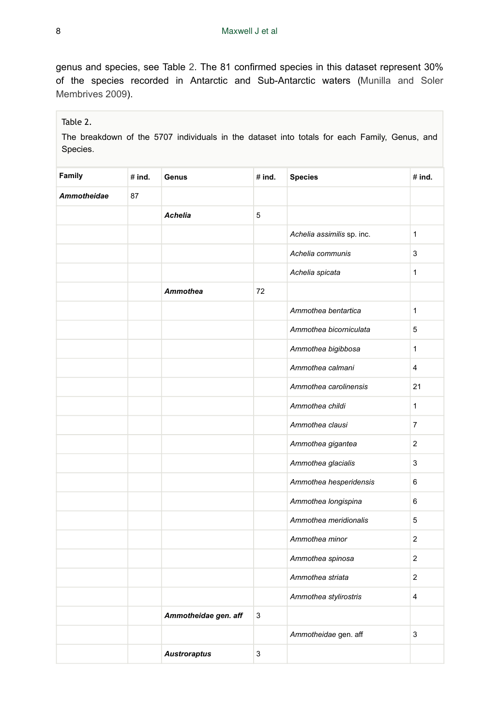genus and species, see Table [2.](#page-7-0) The 81 confirmed species in this dataset represent 30% of the species recorded in Antarctic and Sub-Antarctic waters ([Munilla and Soler](#page-20-1) [Membrives 2009\)](#page-20-1).

### <span id="page-7-0"></span>Table 2.

The breakdown of the 5707 individuals in the dataset into totals for each Family, Genus, and Species.

| Family             | #ind. | Genus                | $#$ ind. | <b>Species</b>             | #ind.          |
|--------------------|-------|----------------------|----------|----------------------------|----------------|
| <b>Ammotheidae</b> | 87    |                      |          |                            |                |
|                    |       | <b>Achelia</b>       | 5        |                            |                |
|                    |       |                      |          | Achelia assimilis sp. inc. | 1              |
|                    |       |                      |          | Achelia communis           | 3              |
|                    |       |                      |          | Achelia spicata            | $\mathbf{1}$   |
|                    |       | <b>Ammothea</b>      | 72       |                            |                |
|                    |       |                      |          | Ammothea bentartica        | $\mathbf{1}$   |
|                    |       |                      |          | Ammothea bicorniculata     | 5              |
|                    |       |                      |          | Ammothea bigibbosa         | $\mathbf{1}$   |
|                    |       |                      |          | Ammothea calmani           | 4              |
|                    |       |                      |          | Ammothea carolinensis      | 21             |
|                    |       |                      |          | Ammothea childi            | $\mathbf{1}$   |
|                    |       |                      |          | Ammothea clausi            | $\overline{7}$ |
|                    |       |                      |          | Ammothea gigantea          | $\overline{2}$ |
|                    |       |                      |          | Ammothea glacialis         | 3              |
|                    |       |                      |          | Ammothea hesperidensis     | 6              |
|                    |       |                      |          | Ammothea longispina        | 6              |
|                    |       |                      |          | Ammothea meridionalis      | 5              |
|                    |       |                      |          | Ammothea minor             | 2              |
|                    |       |                      |          | Ammothea spinosa           | $\mathbf{2}$   |
|                    |       |                      |          | Ammothea striata           | $\mathbf{2}$   |
|                    |       |                      |          | Ammothea stylirostris      | $\overline{4}$ |
|                    |       | Ammotheidae gen. aff | 3        |                            |                |
|                    |       |                      |          | Ammotheidae gen. aff       | 3              |
|                    |       | <b>Austroraptus</b>  | 3        |                            |                |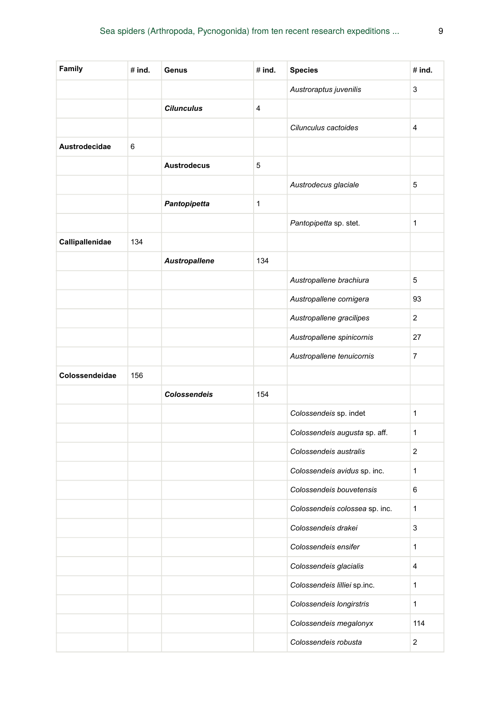| Family          | $#$ ind. | Genus               | $#$ ind. | <b>Species</b>                 | # ind.         |
|-----------------|----------|---------------------|----------|--------------------------------|----------------|
|                 |          |                     |          | Austroraptus juvenilis         | 3              |
|                 |          | <b>Cilunculus</b>   | 4        |                                |                |
|                 |          |                     |          | Cilunculus cactoides           | 4              |
| Austrodecidae   | 6        |                     |          |                                |                |
|                 |          | <b>Austrodecus</b>  | 5        |                                |                |
|                 |          |                     |          | Austrodecus glaciale           | 5              |
|                 |          | Pantopipetta        | 1        |                                |                |
|                 |          |                     |          | Pantopipetta sp. stet.         | $\mathbf{1}$   |
| Callipallenidae | 134      |                     |          |                                |                |
|                 |          | Austropallene       | 134      |                                |                |
|                 |          |                     |          | Austropallene brachiura        | 5              |
|                 |          |                     |          | Austropallene cornigera        | 93             |
|                 |          |                     |          | Austropallene gracilipes       | $\overline{2}$ |
|                 |          |                     |          | Austropallene spinicornis      | 27             |
|                 |          |                     |          | Austropallene tenuicornis      | $\overline{7}$ |
| Colossendeidae  | 156      |                     |          |                                |                |
|                 |          | <b>Colossendeis</b> | 154      |                                |                |
|                 |          |                     |          | Colossendeis sp. indet         | $\mathbf{1}$   |
|                 |          |                     |          | Colossendeis augusta sp. aff.  | $\mathbf{1}$   |
|                 |          |                     |          | Colossendeis australis         | $\overline{2}$ |
|                 |          |                     |          | Colossendeis avidus sp. inc.   | $\mathbf{1}$   |
|                 |          |                     |          | Colossendeis bouvetensis       | 6              |
|                 |          |                     |          | Colossendeis colossea sp. inc. | 1              |
|                 |          |                     |          | Colossendeis drakei            | 3              |
|                 |          |                     |          | Colossendeis ensifer           | 1              |
|                 |          |                     |          | Colossendeis glacialis         | 4              |
|                 |          |                     |          | Colossendeis lilliei sp.inc.   | $\mathbf{1}$   |
|                 |          |                     |          | Colossendeis longirstris       | $\mathbf{1}$   |
|                 |          |                     |          | Colossendeis megalonyx         | 114            |
|                 |          |                     |          | Colossendeis robusta           | $\overline{2}$ |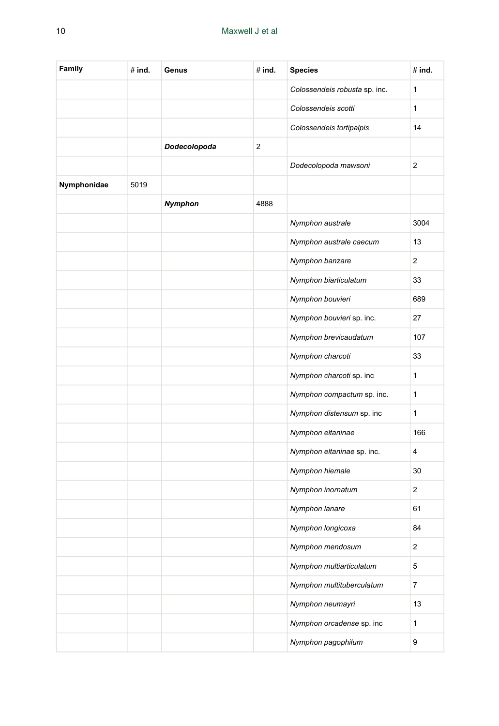| Family      | # ind. | Genus        | # ind. | <b>Species</b>                | # ind.                  |
|-------------|--------|--------------|--------|-------------------------------|-------------------------|
|             |        |              |        | Colossendeis robusta sp. inc. | 1                       |
|             |        |              |        | Colossendeis scotti           | 1                       |
|             |        |              |        | Colossendeis tortipalpis      | 14                      |
|             |        | Dodecolopoda | 2      |                               |                         |
|             |        |              |        | Dodecolopoda mawsoni          | $\overline{2}$          |
| Nymphonidae | 5019   |              |        |                               |                         |
|             |        | Nymphon      | 4888   |                               |                         |
|             |        |              |        | Nymphon australe              | 3004                    |
|             |        |              |        | Nymphon australe caecum       | 13                      |
|             |        |              |        | Nymphon banzare               | 2                       |
|             |        |              |        | Nymphon biarticulatum         | 33                      |
|             |        |              |        | Nymphon bouvieri              | 689                     |
|             |        |              |        | Nymphon bouvieri sp. inc.     | 27                      |
|             |        |              |        | Nymphon brevicaudatum         | 107                     |
|             |        |              |        | Nymphon charcoti              | 33                      |
|             |        |              |        | Nymphon charcoti sp. inc      | 1                       |
|             |        |              |        | Nymphon compactum sp. inc.    | 1                       |
|             |        |              |        | Nymphon distensum sp. inc     | 1                       |
|             |        |              |        | Nymphon eltaninae             | 166                     |
|             |        |              |        | Nymphon eltaninae sp. inc.    | 4                       |
|             |        |              |        | Nymphon hiemale               | 30                      |
|             |        |              |        | Nymphon inornatum             | 2                       |
|             |        |              |        | Nymphon lanare                | 61                      |
|             |        |              |        | Nymphon longicoxa             | 84                      |
|             |        |              |        | Nymphon mendosum              | $\overline{c}$          |
|             |        |              |        | Nymphon multiarticulatum      | 5                       |
|             |        |              |        | Nymphon multituberculatum     | $\overline{\mathbf{7}}$ |
|             |        |              |        | Nymphon neumayri              | 13                      |
|             |        |              |        | Nymphon orcadense sp. inc     | $\mathbf{1}$            |
|             |        |              |        | Nymphon pagophilum            | 9                       |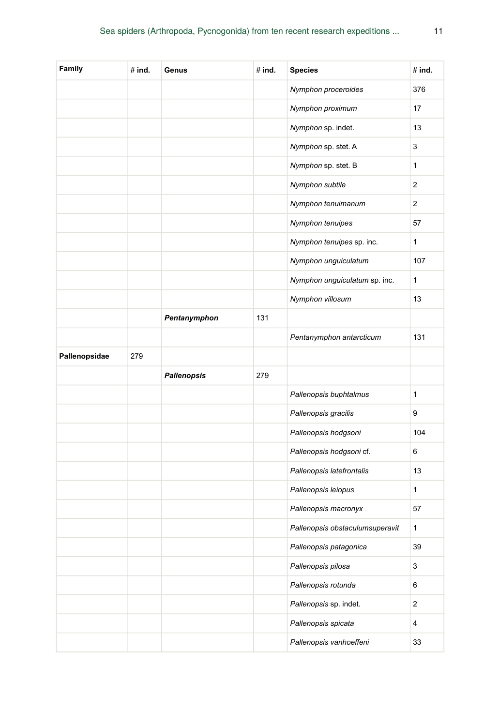| Family        | # ind. | Genus              | #ind. | <b>Species</b>                  | #ind.          |
|---------------|--------|--------------------|-------|---------------------------------|----------------|
|               |        |                    |       | Nymphon proceroides             | 376            |
|               |        |                    |       | Nymphon proximum                | 17             |
|               |        |                    |       | Nymphon sp. indet.              | 13             |
|               |        |                    |       | Nymphon sp. stet. A             | 3              |
|               |        |                    |       | Nymphon sp. stet. B             | 1              |
|               |        |                    |       | Nymphon subtile                 | 2              |
|               |        |                    |       | Nymphon tenuimanum              | 2              |
|               |        |                    |       | Nymphon tenuipes                | 57             |
|               |        |                    |       | Nymphon tenuipes sp. inc.       | $\mathbf{1}$   |
|               |        |                    |       | Nymphon unguiculatum            | 107            |
|               |        |                    |       | Nymphon unguiculatum sp. inc.   | $\mathbf{1}$   |
|               |        |                    |       | Nymphon villosum                | 13             |
|               |        | Pentanymphon       | 131   |                                 |                |
|               |        |                    |       | Pentanymphon antarcticum        | 131            |
| Pallenopsidae | 279    |                    |       |                                 |                |
|               |        | <b>Pallenopsis</b> | 279   |                                 |                |
|               |        |                    |       | Pallenopsis buphtalmus          | 1              |
|               |        |                    |       | Pallenopsis gracilis            | 9              |
|               |        |                    |       | Pallenopsis hodgsoni            | 104            |
|               |        |                    |       | Pallenopsis hodgsoni cf.        | 6              |
|               |        |                    |       | Pallenopsis latefrontalis       | 13             |
|               |        |                    |       | Pallenopsis leiopus             | 1              |
|               |        |                    |       | Pallenopsis macronyx            | 57             |
|               |        |                    |       | Pallenopsis obstaculumsuperavit | 1              |
|               |        |                    |       | Pallenopsis patagonica          | 39             |
|               |        |                    |       | Pallenopsis pilosa              | 3              |
|               |        |                    |       | Pallenopsis rotunda             | 6              |
|               |        |                    |       | Pallenopsis sp. indet.          | $\overline{a}$ |
|               |        |                    |       | Pallenopsis spicata             | 4              |
|               |        |                    |       | Pallenopsis vanhoeffeni         | 33             |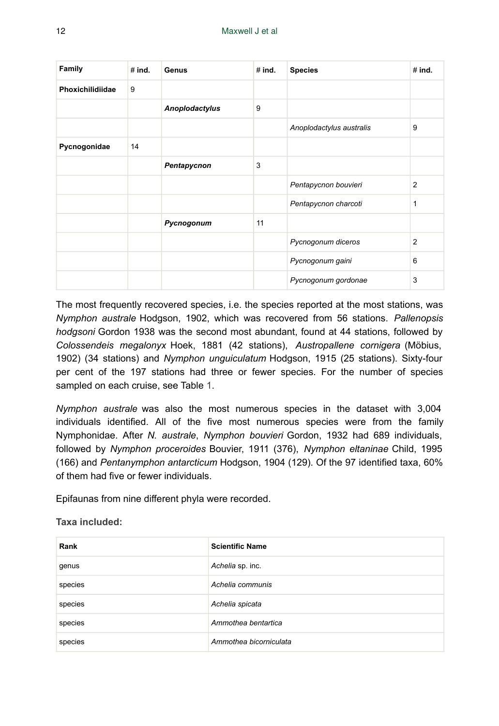| Family           | #ind. | Genus          | #ind. | <b>Species</b>           | $#$ ind.       |
|------------------|-------|----------------|-------|--------------------------|----------------|
| Phoxichilidiidae | 9     |                |       |                          |                |
|                  |       | Anoplodactylus | 9     |                          |                |
|                  |       |                |       | Anoplodactylus australis | 9              |
| Pycnogonidae     | 14    |                |       |                          |                |
|                  |       | Pentapycnon    | 3     |                          |                |
|                  |       |                |       | Pentapycnon bouvieri     | $\overline{2}$ |
|                  |       |                |       | Pentapycnon charcoti     | 1              |
|                  |       | Pycnogonum     | 11    |                          |                |
|                  |       |                |       | Pycnogonum diceros       | 2              |
|                  |       |                |       | Pycnogonum gaini         | 6              |
|                  |       |                |       | Pycnogonum gordonae      | 3              |

The most frequently recovered species, i.e. the species reported at the most stations, was *Nymphon australe* Hodgson, 1902, which was recovered from 56 stations. *Pallenopsis hodgsoni* Gordon 1938 was the second most abundant, found at 44 stations, followed by *Colossendeis megalonyx* Hoek, 1881 (42 stations), *Austropallene cornigera* (Möbius, 1902) (34 stations) and *Nymphon unguiculatum* Hodgson, 1915 (25 stations). Sixty-four per cent of the 197 stations had three or fewer species. For the number of species sampled on each cruise, see Table [1](#page-3-0).

*Nymphon australe* was also the most numerous species in the dataset with 3,004 individuals identified. All of the five most numerous species were from the family Nymphonidae. After *N. australe*, *Nymphon bouvieri* Gordon, 1932 had 689 individuals, followed by *Nymphon proceroides* Bouvier, 1911 (376), *Nymphon eltaninae* Child, 1995 (166) and *Pentanymphon antarcticum* Hodgson, 1904 (129). Of the 97 identified taxa, 60% of them had five or fewer individuals.

Epifaunas from nine different phyla were recorded.

**Taxa included:**

| Rank    | <b>Scientific Name</b> |
|---------|------------------------|
| genus   | Achelia sp. inc.       |
| species | Achelia communis       |
| species | Achelia spicata        |
| species | Ammothea bentartica    |
| species | Ammothea bicorniculata |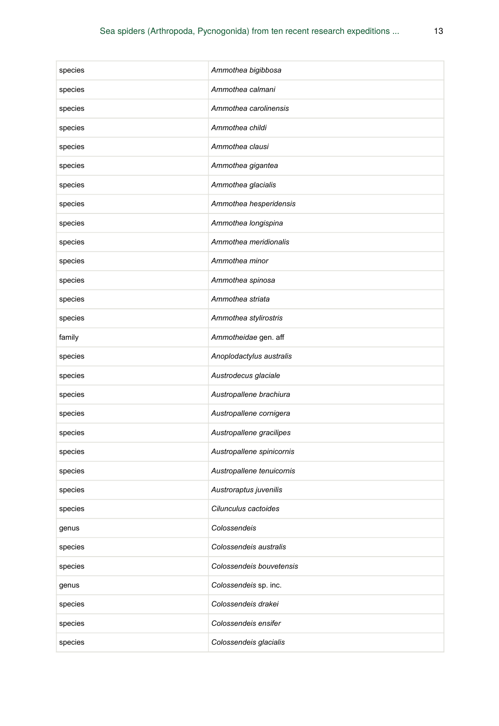| species | Ammothea bigibbosa        |
|---------|---------------------------|
| species | Ammothea calmani          |
| species | Ammothea carolinensis     |
| species | Ammothea childi           |
| species | Ammothea clausi           |
| species | Ammothea gigantea         |
| species | Ammothea glacialis        |
| species | Ammothea hesperidensis    |
| species | Ammothea longispina       |
| species | Ammothea meridionalis     |
| species | Ammothea minor            |
| species | Ammothea spinosa          |
| species | Ammothea striata          |
| species | Ammothea stylirostris     |
| family  | Ammotheidae gen. aff      |
| species | Anoplodactylus australis  |
| species | Austrodecus glaciale      |
| species | Austropallene brachiura   |
| species | Austropallene cornigera   |
| species | Austropallene gracilipes  |
| species | Austropallene spinicornis |
| species | Austropallene tenuicornis |
| species | Austroraptus juvenilis    |
| species | Cilunculus cactoides      |
| genus   | Colossendeis              |
| species | Colossendeis australis    |
| species | Colossendeis bouvetensis  |
| genus   | Colossendeis sp. inc.     |
| species | Colossendeis drakei       |
| species | Colossendeis ensifer      |
| species | Colossendeis glacialis    |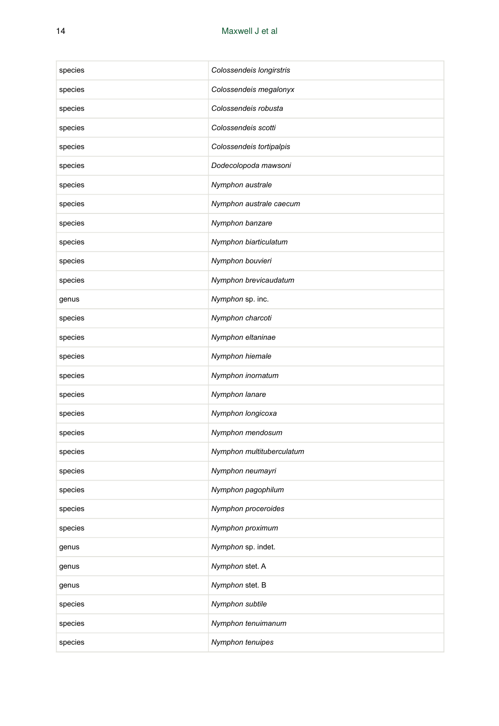| species | Colossendeis longirstris  |
|---------|---------------------------|
| species | Colossendeis megalonyx    |
| species | Colossendeis robusta      |
| species | Colossendeis scotti       |
| species | Colossendeis tortipalpis  |
| species | Dodecolopoda mawsoni      |
| species | Nymphon australe          |
| species | Nymphon australe caecum   |
| species | Nymphon banzare           |
| species | Nymphon biarticulatum     |
| species | Nymphon bouvieri          |
| species | Nymphon brevicaudatum     |
| genus   | Nymphon sp. inc.          |
| species | Nymphon charcoti          |
| species | Nymphon eltaninae         |
| species | Nymphon hiemale           |
| species | Nymphon inornatum         |
| species | Nymphon lanare            |
| species | Nymphon longicoxa         |
| species | Nymphon mendosum          |
| species | Nymphon multituberculatum |
| species | Nymphon neumayri          |
| species | Nymphon pagophilum        |
| species | Nymphon proceroides       |
| species | Nymphon proximum          |
| genus   | Nymphon sp. indet.        |
| genus   | Nymphon stet. A           |
| genus   | Nymphon stet. B           |
| species | Nymphon subtile           |
| species | Nymphon tenuimanum        |
| species | Nymphon tenuipes          |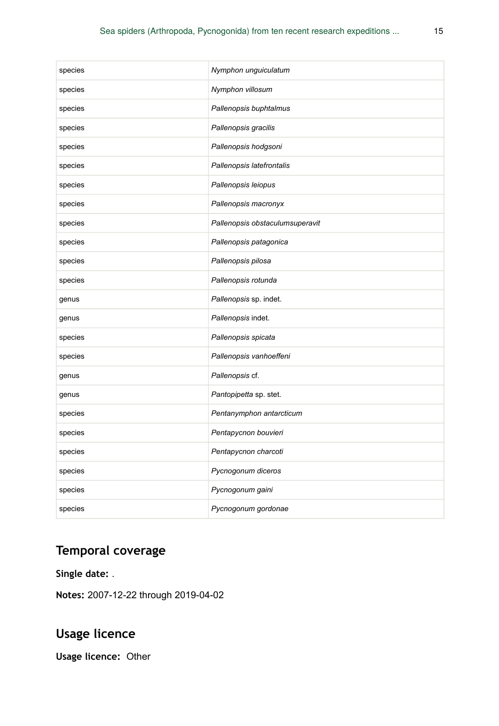| species | Nymphon unguiculatum            |
|---------|---------------------------------|
| species | Nymphon villosum                |
| species | Pallenopsis buphtalmus          |
| species | Pallenopsis gracilis            |
| species | Pallenopsis hodgsoni            |
| species | Pallenopsis latefrontalis       |
| species | Pallenopsis leiopus             |
| species | Pallenopsis macronyx            |
| species | Pallenopsis obstaculumsuperavit |
| species | Pallenopsis patagonica          |
| species | Pallenopsis pilosa              |
| species | Pallenopsis rotunda             |
| genus   | Pallenopsis sp. indet.          |
| genus   | Pallenopsis indet.              |
| species | Pallenopsis spicata             |
| species | Pallenopsis vanhoeffeni         |
| genus   | Pallenopsis cf.                 |
| genus   | Pantopipetta sp. stet.          |
| species | Pentanymphon antarcticum        |
| species | Pentapycnon bouvieri            |
| species | Pentapycnon charcoti            |
| species | Pycnogonum diceros              |
| species | Pycnogonum gaini                |
| species | Pycnogonum gordonae             |

# **Temporal coverage**

**Single date:** .

**Notes:** 2007-12-22 through 2019-04-02

# **Usage licence**

**Usage licence:** Other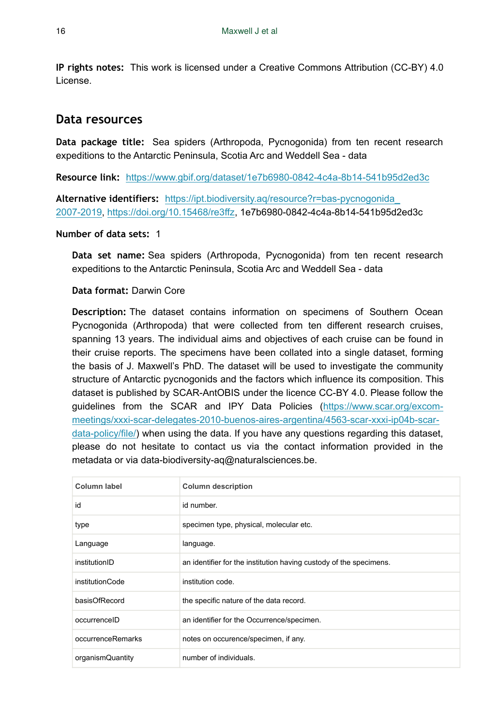**IP rights notes:** This work is licensed under a Creative Commons Attribution (CC-BY) 4.0 License.

## **Data resources**

**Data package title:** Sea spiders (Arthropoda, Pycnogonida) from ten recent research expeditions to the Antarctic Peninsula, Scotia Arc and Weddell Sea - data

**Resource link:** <https://www.gbif.org/dataset/1e7b6980-0842-4c4a-8b14-541b95d2ed3c>

**Alternative identifiers:** [https://ipt.biodiversity.aq/resource?r=bas-pycnogonida\\_](https://ipt.biodiversity.aq/resource?r=bas-pycnogonida_2007-2019) [2007-2019](https://ipt.biodiversity.aq/resource?r=bas-pycnogonida_2007-2019), [https://doi.org/10.15468/re3ffz,](https://doi.org/10.15468/re3ffz) 1e7b6980-0842-4c4a-8b14-541b95d2ed3c

#### **Number of data sets:** 1

**Data set name:** Sea spiders (Arthropoda, Pycnogonida) from ten recent research expeditions to the Antarctic Peninsula, Scotia Arc and Weddell Sea - data

#### **Data format:** Darwin Core

**Description:** The dataset contains information on specimens of Southern Ocean Pycnogonida (Arthropoda) that were collected from ten different research cruises, spanning 13 years. The individual aims and objectives of each cruise can be found in their cruise reports. The specimens have been collated into a single dataset, forming the basis of J. Maxwell's PhD. The dataset will be used to investigate the community structure of Antarctic pycnogonids and the factors which influence its composition. This dataset is published by SCAR-AntOBIS under the licence CC-BY 4.0. Please follow the guidelines from the SCAR and IPY Data Policies ([https://www.scar.org/excom](https://www.scar.org/excom-meetings/xxxi-scar-delegates-2010-buenos-aires-argentina/4563-scar-xxxi-ip04b-scar-data-policy/file/)[meetings/xxxi-scar-delegates-2010-buenos-aires-argentina/4563-scar-xxxi-ip04b-scar](https://www.scar.org/excom-meetings/xxxi-scar-delegates-2010-buenos-aires-argentina/4563-scar-xxxi-ip04b-scar-data-policy/file/)[data-policy/file/](https://www.scar.org/excom-meetings/xxxi-scar-delegates-2010-buenos-aires-argentina/4563-scar-xxxi-ip04b-scar-data-policy/file/)) when using the data. If you have any questions regarding this dataset, please do not hesitate to contact us via the contact information provided in the metadata or via data-biodiversity-aq@naturalsciences.be.

| Column label      | <b>Column description</b>                                          |
|-------------------|--------------------------------------------------------------------|
| id                | id number.                                                         |
| type              | specimen type, physical, molecular etc.                            |
| Language          | language.                                                          |
| institutionID     | an identifier for the institution having custody of the specimens. |
| institutionCode   | institution code.                                                  |
| basisOfRecord     | the specific nature of the data record.                            |
| occurrenceID      | an identifier for the Occurrence/specimen.                         |
| occurrenceRemarks | notes on occurence/specimen, if any.                               |
| organismQuantity  | number of individuals.                                             |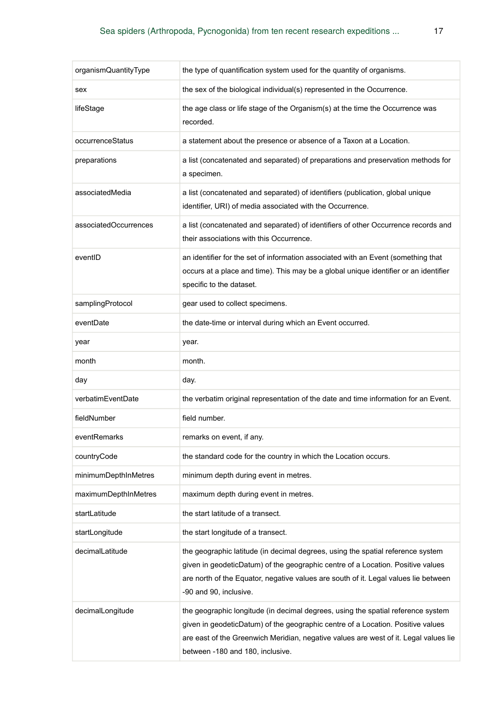| organismQuantityType  | the type of quantification system used for the quantity of organisms.                                                                                                                                                                                                                           |
|-----------------------|-------------------------------------------------------------------------------------------------------------------------------------------------------------------------------------------------------------------------------------------------------------------------------------------------|
| sex                   | the sex of the biological individual(s) represented in the Occurrence.                                                                                                                                                                                                                          |
| lifeStage             | the age class or life stage of the Organism(s) at the time the Occurrence was<br>recorded.                                                                                                                                                                                                      |
| occurrenceStatus      | a statement about the presence or absence of a Taxon at a Location.                                                                                                                                                                                                                             |
| preparations          | a list (concatenated and separated) of preparations and preservation methods for<br>a specimen.                                                                                                                                                                                                 |
| associatedMedia       | a list (concatenated and separated) of identifiers (publication, global unique<br>identifier, URI) of media associated with the Occurrence.                                                                                                                                                     |
| associatedOccurrences | a list (concatenated and separated) of identifiers of other Occurrence records and<br>their associations with this Occurrence.                                                                                                                                                                  |
| eventID               | an identifier for the set of information associated with an Event (something that<br>occurs at a place and time). This may be a global unique identifier or an identifier<br>specific to the dataset.                                                                                           |
| samplingProtocol      | gear used to collect specimens.                                                                                                                                                                                                                                                                 |
| eventDate             | the date-time or interval during which an Event occurred.                                                                                                                                                                                                                                       |
| year                  | year.                                                                                                                                                                                                                                                                                           |
| month                 | month.                                                                                                                                                                                                                                                                                          |
| day                   | day.                                                                                                                                                                                                                                                                                            |
| verbatimEventDate     | the verbatim original representation of the date and time information for an Event.                                                                                                                                                                                                             |
| fieldNumber           | field number.                                                                                                                                                                                                                                                                                   |
| eventRemarks          | remarks on event, if any.                                                                                                                                                                                                                                                                       |
| countryCode           | the standard code for the country in which the Location occurs.                                                                                                                                                                                                                                 |
| minimumDepthInMetres  | minimum depth during event in metres.                                                                                                                                                                                                                                                           |
| maximumDepthInMetres  | maximum depth during event in metres.                                                                                                                                                                                                                                                           |
| startLatitude         | the start latitude of a transect.                                                                                                                                                                                                                                                               |
| startLongitude        | the start longitude of a transect.                                                                                                                                                                                                                                                              |
| decimalLatitude       | the geographic latitude (in decimal degrees, using the spatial reference system<br>given in geodeticDatum) of the geographic centre of a Location. Positive values<br>are north of the Equator, negative values are south of it. Legal values lie between<br>-90 and 90, inclusive.             |
| decimalLongitude      | the geographic longitude (in decimal degrees, using the spatial reference system<br>given in geodeticDatum) of the geographic centre of a Location. Positive values<br>are east of the Greenwich Meridian, negative values are west of it. Legal values lie<br>between -180 and 180, inclusive. |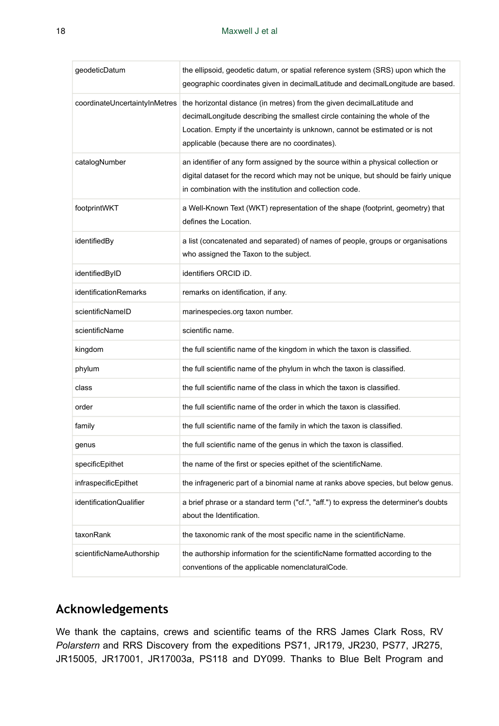| geodeticDatum                 | the ellipsoid, geodetic datum, or spatial reference system (SRS) upon which the<br>geographic coordinates given in decimalLatitude and decimalLongitude are based.                                                                                                                      |
|-------------------------------|-----------------------------------------------------------------------------------------------------------------------------------------------------------------------------------------------------------------------------------------------------------------------------------------|
| coordinateUncertaintyInMetres | the horizontal distance (in metres) from the given decimalLatitude and<br>decimalLongitude describing the smallest circle containing the whole of the<br>Location. Empty if the uncertainty is unknown, cannot be estimated or is not<br>applicable (because there are no coordinates). |
| catalogNumber                 | an identifier of any form assigned by the source within a physical collection or<br>digital dataset for the record which may not be unique, but should be fairly unique<br>in combination with the institution and collection code.                                                     |
| footprintWKT                  | a Well-Known Text (WKT) representation of the shape (footprint, geometry) that<br>defines the Location.                                                                                                                                                                                 |
| identifiedBy                  | a list (concatenated and separated) of names of people, groups or organisations<br>who assigned the Taxon to the subject.                                                                                                                                                               |
| identifiedByID                | identifiers ORCID iD.                                                                                                                                                                                                                                                                   |
| identificationRemarks         | remarks on identification, if any.                                                                                                                                                                                                                                                      |
| scientificNameID              | marinespecies.org taxon number.                                                                                                                                                                                                                                                         |
| scientificName                | scientific name.                                                                                                                                                                                                                                                                        |
| kingdom                       | the full scientific name of the kingdom in which the taxon is classified.                                                                                                                                                                                                               |
| phylum                        | the full scientific name of the phylum in whch the taxon is classified.                                                                                                                                                                                                                 |
| class                         | the full scientific name of the class in which the taxon is classified.                                                                                                                                                                                                                 |
| order                         | the full scientific name of the order in which the taxon is classified.                                                                                                                                                                                                                 |
| family                        | the full scientific name of the family in which the taxon is classified.                                                                                                                                                                                                                |
| genus                         | the full scientific name of the genus in which the taxon is classified.                                                                                                                                                                                                                 |
| specificEpithet               | the name of the first or species epithet of the scientificName.                                                                                                                                                                                                                         |
| infraspecificEpithet          | the infrageneric part of a binomial name at ranks above species, but below genus.                                                                                                                                                                                                       |
| identificationQualifier       | a brief phrase or a standard term ("cf.", "aff.") to express the determiner's doubts<br>about the Identification.                                                                                                                                                                       |
| taxonRank                     | the taxonomic rank of the most specific name in the scientificName.                                                                                                                                                                                                                     |
| scientificNameAuthorship      | the authorship information for the scientificName formatted according to the<br>conventions of the applicable nomenclaturalCode.                                                                                                                                                        |

# **Acknowledgements**

We thank the captains, crews and scientific teams of the RRS James Clark Ross, RV *Polarstern* and RRS Discovery from the expeditions PS71, JR179, JR230, PS77, JR275, JR15005, JR17001, JR17003a, PS118 and DY099. Thanks to Blue Belt Program and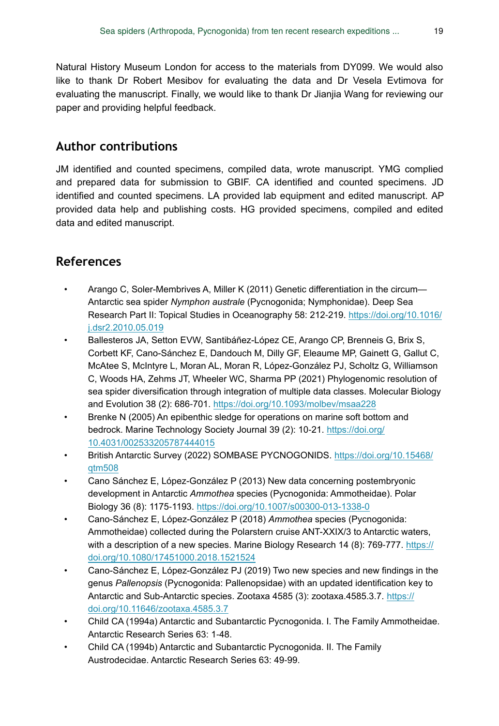Natural History Museum London for access to the materials from DY099. We would also like to thank Dr Robert Mesibov for evaluating the data and Dr Vesela Evtimova for evaluating the manuscript. Finally, we would like to thank Dr Jianjia Wang for reviewing our paper and providing helpful feedback.

## **Author contributions**

JM identified and counted specimens, compiled data, wrote manuscript. YMG complied and prepared data for submission to GBIF. CA identified and counted specimens. JD identified and counted specimens. LA provided lab equipment and edited manuscript. AP provided data help and publishing costs. HG provided specimens, compiled and edited data and edited manuscript.

# **References**

- <span id="page-18-5"></span>• Arango C, Soler-Membrives A, Miller K (2011) Genetic differentiation in the circum— Antarctic sea spider *Nymphon australe* (Pycnogonida; Nymphonidae). Deep Sea Research Part II: Topical Studies in Oceanography 58: 212-219. [https://doi.org/10.1016/](https://doi.org/10.1016/j.dsr2.2010.05.019) [j.dsr2.2010.05.019](https://doi.org/10.1016/j.dsr2.2010.05.019)
- <span id="page-18-0"></span>Ballesteros JA, Setton EVW, Santibáñez-López CE, Arango CP, Brenneis G, Brix S, Corbett KF, Cano-Sánchez E, Dandouch M, Dilly GF, Eleaume MP, Gainett G, Gallut C, McAtee S, McIntyre L, Moran AL, Moran R, López-González PJ, Scholtz G, Williamson C, Woods HA, Zehms JT, Wheeler WC, Sharma PP (2021) Phylogenomic resolution of sea spider diversification through integration of multiple data classes. Molecular Biology and Evolution 38 (2): 686‑701. <https://doi.org/10.1093/molbev/msaa228>
- <span id="page-18-6"></span>• Brenke N (2005) An epibenthic sledge for operations on marine soft bottom and bedrock. Marine Technology Society Journal 39 (2): 10‑21. [https://doi.org/](https://doi.org/10.4031/002533205787444015) [10.4031/002533205787444015](https://doi.org/10.4031/002533205787444015)
- <span id="page-18-4"></span>• British Antarctic Survey (2022) SOMBASE PYCNOGONIDS. [https://doi.org/10.15468/](https://doi.org/10.15468/qtm508) [qtm508](https://doi.org/10.15468/qtm508)
- <span id="page-18-1"></span>• Cano Sánchez E, López-González P (2013) New data concerning postembryonic development in Antarctic *Ammothea* species (Pycnogonida: Ammotheidae). Polar Biology 36 (8): 1175‑1193.<https://doi.org/10.1007/s00300-013-1338-0>
- <span id="page-18-2"></span>• Cano-Sánchez E, López-González P (2018) *Ammothea* species (Pycnogonida: Ammotheidae) collected during the Polarstern cruise ANT-XXIX/3 to Antarctic waters, with a description of a new species. Marine Biology Research 14 (8): 769-777. [https://](https://doi.org/10.1080/17451000.2018.1521524) [doi.org/10.1080/17451000.2018.1521524](https://doi.org/10.1080/17451000.2018.1521524)
- <span id="page-18-3"></span>• Cano-Sánchez E, López-González PJ (2019) Two new species and new findings in the genus *Pallenopsis* (Pycnogonida: Pallenopsidae) with an updated identification key to Antarctic and Sub-Antarctic species. Zootaxa 4585 (3): zootaxa.4585.3.7. [https://](https://doi.org/10.11646/zootaxa.4585.3.7) [doi.org/10.11646/zootaxa.4585.3.7](https://doi.org/10.11646/zootaxa.4585.3.7)
- <span id="page-18-7"></span>• Child CA (1994a) Antarctic and Subantarctic Pycnogonida. I. The Family Ammotheidae. Antarctic Research Series 63: 1‑48.
- <span id="page-18-8"></span>• Child CA (1994b) Antarctic and Subantarctic Pycnogonida. II. The Family Austrodecidae. Antarctic Research Series 63: 49‑99.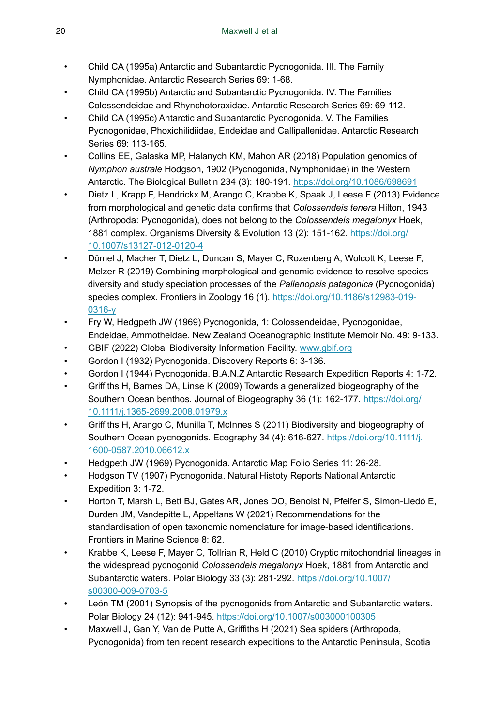- <span id="page-19-13"></span>• Child CA (1995a) Antarctic and Subantarctic Pycnogonida. III. The Family Nymphonidae. Antarctic Research Series 69: 1‑68.
- <span id="page-19-14"></span>• Child CA (1995b) Antarctic and Subantarctic Pycnogonida. IV. The Families Colossendeidae and Rhynchotoraxidae. Antarctic Research Series 69: 69‑112.
- <span id="page-19-15"></span>• Child CA (1995c) Antarctic and Subantarctic Pycnogonida. V. The Families Pycnogonidae, Phoxichilidiidae, Endeidae and Callipallenidae. Antarctic Research Series 69: 113-165.
- <span id="page-19-6"></span>• Collins EE, Galaska MP, Halanych KM, Mahon AR (2018) Population genomics of *Nymphon australe* Hodgson, 1902 (Pycnogonida, Nymphonidae) in the Western Antarctic. The Biological Bulletin 234 (3): 180‑191. <https://doi.org/10.1086/698691>
- <span id="page-19-8"></span>• Dietz L, Krapp F, Hendrickx M, Arango C, Krabbe K, Spaak J, Leese F (2013) Evidence from morphological and genetic data confirms that *Colossendeis tenera* Hilton, 1943 (Arthropoda: Pycnogonida), does not belong to the *Colossendeis megalonyx* Hoek, 1881 complex. Organisms Diversity & Evolution 13 (2): 151‑162. [https://doi.org/](https://doi.org/10.1007/s13127-012-0120-4) [10.1007/s13127-012-0120-4](https://doi.org/10.1007/s13127-012-0120-4)
- <span id="page-19-3"></span>• Dömel J, Macher T, Dietz L, Duncan S, Mayer C, Rozenberg A, Wolcott K, Leese F, Melzer R (2019) Combining morphological and genomic evidence to resolve species diversity and study speciation processes of the *Pallenopsis patagonica* (Pycnogonida) species complex. Frontiers in Zoology 16 (1). [https://doi.org/10.1186/s12983-019-](https://doi.org/10.1186/s12983-019-0316-y) [0316-y](https://doi.org/10.1186/s12983-019-0316-y)
- <span id="page-19-12"></span>• Fry W, Hedgpeth JW (1969) Pycnogonida, 1: Colossendeidae, Pycnogonidae, Endeidae, Ammotheidae. New Zealand Oceanographic Institute Memoir No. 49: 9‑133.
- <span id="page-19-4"></span>GBIF (2022) Global Biodiversity Information Facility. [www.gbif.org](http://www.gbif.org)
- <span id="page-19-10"></span>• Gordon I (1932) Pycnogonida. Discovery Reports 6: 3‑136.
- <span id="page-19-11"></span>• Gordon I (1944) Pycnogonida. B.A.N.Z Antarctic Research Expedition Reports 4: 1‑72.
- <span id="page-19-5"></span>• Griffiths H, Barnes DA, Linse K (2009) Towards a generalized biogeography of the Southern Ocean benthos. Journal of Biogeography 36 (1): 162-177. [https://doi.org/](https://doi.org/10.1111/j.1365-2699.2008.01979.x) [10.1111/j.1365-2699.2008.01979.x](https://doi.org/10.1111/j.1365-2699.2008.01979.x)
- <span id="page-19-0"></span>• Griffiths H, Arango C, Munilla T, McInnes S (2011) Biodiversity and biogeography of Southern Ocean pycnogonids. Ecography 34 (4): 616-627. [https://doi.org/10.1111/j.](https://doi.org/10.1111/j.1600-0587.2010.06612.x) [1600-0587.2010.06612.x](https://doi.org/10.1111/j.1600-0587.2010.06612.x)
- <span id="page-19-1"></span>• Hedgpeth JW (1969) Pycnogonida. Antarctic Map Folio Series 11: 26‑28.
- <span id="page-19-9"></span>• Hodgson TV (1907) Pycnogonida. Natural Histoty Reports National Antarctic Expedition 3: 1‑72.
- <span id="page-19-16"></span>• Horton T, Marsh L, Bett BJ, Gates AR, Jones DO, Benoist N, Pfeifer S, Simon-Lledó E, Durden JM, Vandepitte L, Appeltans W (2021) Recommendations for the standardisation of open taxonomic nomenclature for image-based identifications. Frontiers in Marine Science 8: 62.
- <span id="page-19-7"></span>• Krabbe K, Leese F, Mayer C, Tollrian R, Held C (2010) Cryptic mitochondrial lineages in the widespread pycnogonid *Colossendeis megalonyx* Hoek, 1881 from Antarctic and Subantarctic waters. Polar Biology 33 (3): 281‑292. [https://doi.org/10.1007/](https://doi.org/10.1007/s00300-009-0703-5) [s00300-009-0703-5](https://doi.org/10.1007/s00300-009-0703-5)
- <span id="page-19-2"></span>• León TM (2001) Synopsis of the pycnogonids from Antarctic and Subantarctic waters. Polar Biology 24 (12): 941‑945.<https://doi.org/10.1007/s003000100305>
- <span id="page-19-17"></span>• Maxwell J, Gan Y, Van de Putte A, Griffiths H (2021) Sea spiders (Arthropoda, Pycnogonida) from ten recent research expeditions to the Antarctic Peninsula, Scotia